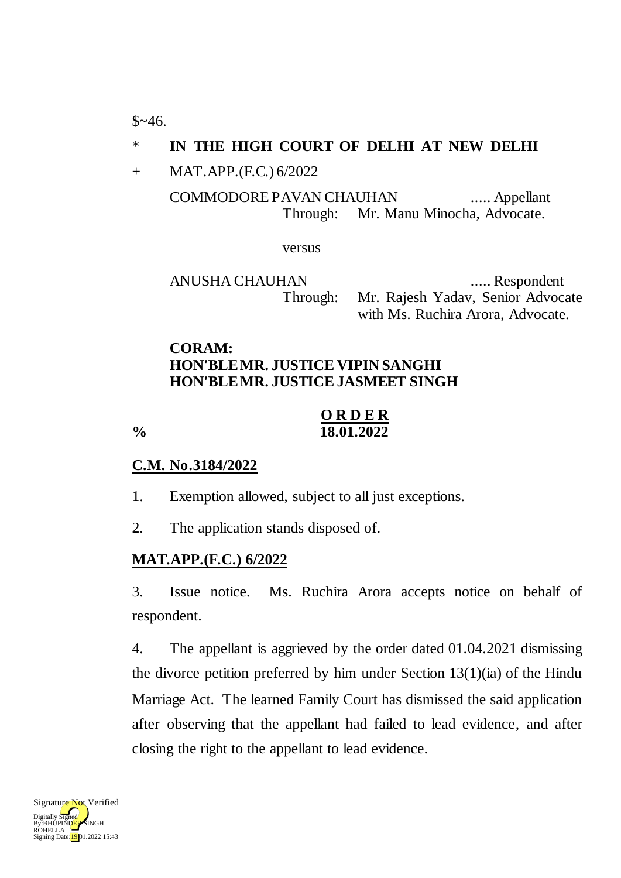$$~46.$ 

## \* **IN THE HIGH COURT OF DELHI AT NEW DELHI**

+ MAT.APP.(F.C.) 6/2022

COMMODORE PAVAN CHAUHAN ..... Appellant Through: Mr. Manu Minocha, Advocate.

versus

ANUSHA CHAUHAN ..... Respondent Through: Mr. Rajesh Yadav, Senior Advocate with Ms. Ruchira Arora, Advocate.

### **CORAM: HON'BLE MR. JUSTICE VIPIN SANGHI HON'BLE MR. JUSTICE JASMEET SINGH**

### **O R D E R % 18.01.2022**

#### **C.M. No.3184/2022**

- 1. Exemption allowed, subject to all just exceptions.
- 2. The application stands disposed of.

#### **MAT.APP.(F.C.) 6/2022**

3. Issue notice. Ms. Ruchira Arora accepts notice on behalf of respondent.

4. The appellant is aggrieved by the order dated 01.04.2021 dismissing the divorce petition preferred by him under Section  $13(1)(ia)$  of the Hindu Marriage Act. The learned Family Court has dismissed the said application after observing that the appellant had failed to lead evidence, and after closing the right to the appellant to lead evidence.

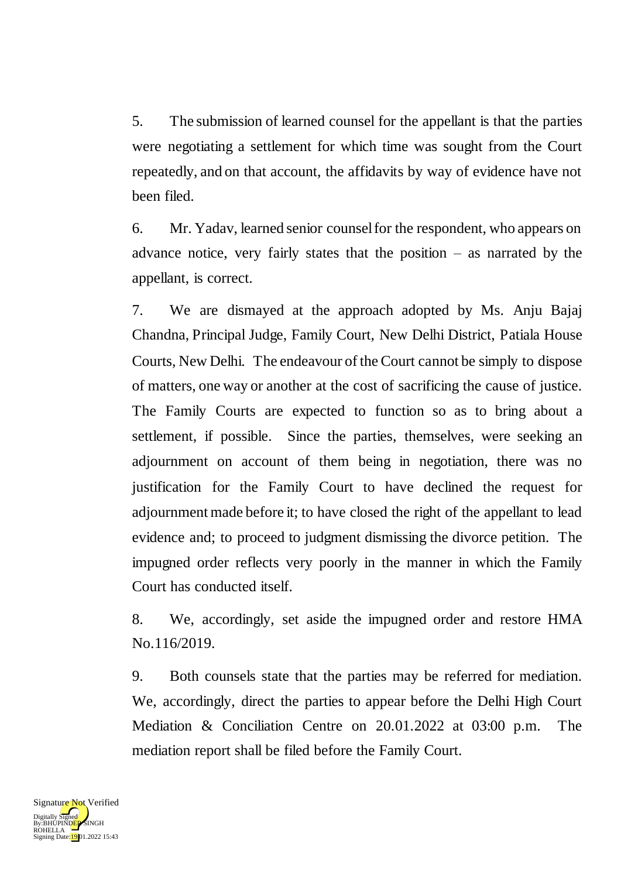5. The submission of learned counsel for the appellant is that the parties were negotiating a settlement for which time was sought from the Court repeatedly, and on that account, the affidavits by way of evidence have not been filed.

6. Mr. Yadav, learned senior counsel for the respondent, who appears on advance notice, very fairly states that the position  $-$  as narrated by the appellant, is correct.

7. We are dismayed at the approach adopted by Ms. Anju Bajaj Chandna, Principal Judge, Family Court, New Delhi District, Patiala House Courts, New Delhi. The endeavour of the Court cannot be simply to dispose of matters, one way or another at the cost of sacrificing the cause of justice. The Family Courts are expected to function so as to bring about a settlement, if possible. Since the parties, themselves, were seeking an adjournment on account of them being in negotiation, there was no justification for the Family Court to have declined the request for adjournment made before it; to have closed the right of the appellant to lead evidence and; to proceed to judgment dismissing the divorce petition. The impugned order reflects very poorly in the manner in which the Family Court has conducted itself.

8. We, accordingly, set aside the impugned order and restore HMA No.116/2019.

9. Both counsels state that the parties may be referred for mediation. We, accordingly, direct the parties to appear before the Delhi High Court Mediation & Conciliation Centre on 20.01.2022 at 03:00 p.m. The mediation report shall be filed before the Family Court.